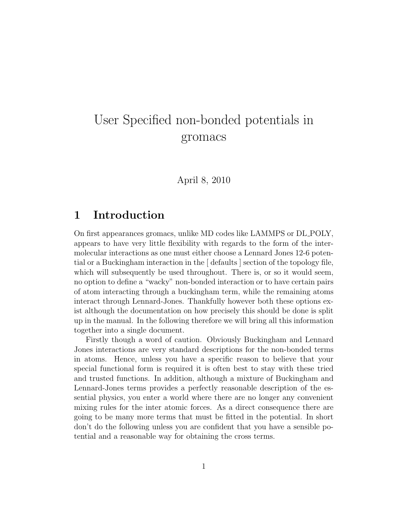# User Specified non-bonded potentials in gromacs

April 8, 2010

### 1 Introduction

On first appearances gromacs, unlike MD codes like LAMMPS or DL POLY, appears to have very little flexibility with regards to the form of the intermolecular interactions as one must either choose a Lennard Jones 12-6 potential or a Buckingham interaction in the [ defaults ] section of the topology file, which will subsequently be used throughout. There is, or so it would seem, no option to define a "wacky" non-bonded interaction or to have certain pairs of atom interacting through a buckingham term, while the remaining atoms interact through Lennard-Jones. Thankfully however both these options exist although the documentation on how precisely this should be done is split up in the manual. In the following therefore we will bring all this information together into a single document.

Firstly though a word of caution. Obviously Buckingham and Lennard Jones interactions are very standard descriptions for the non-bonded terms in atoms. Hence, unless you have a specific reason to believe that your special functional form is required it is often best to stay with these tried and trusted functions. In addition, although a mixture of Buckingham and Lennard-Jones terms provides a perfectly reasonable description of the essential physics, you enter a world where there are no longer any convenient mixing rules for the inter atomic forces. As a direct consequence there are going to be many more terms that must be fitted in the potential. In short don't do the following unless you are confident that you have a sensible potential and a reasonable way for obtaining the cross terms.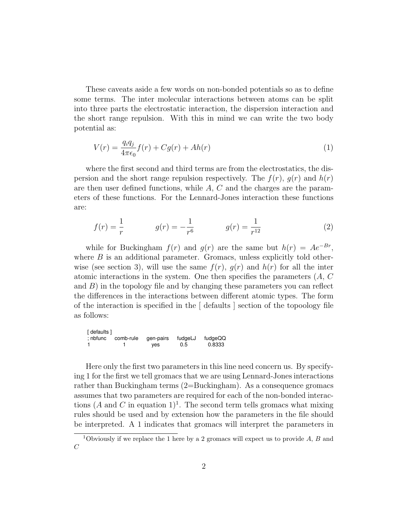These caveats aside a few words on non-bonded potentials so as to define some terms. The inter molecular interactions between atoms can be split into three parts the electrostatic interaction, the dispersion interaction and the short range repulsion. With this in mind we can write the two body potential as:

$$
V(r) = \frac{q_i q_j}{4\pi\epsilon_0} f(r) + Cg(r) + Ah(r)
$$
\n<sup>(1)</sup>

where the first second and third terms are from the electrostatics, the dispersion and the short range repulsion respectively. The  $f(r)$ ,  $g(r)$  and  $h(r)$ are then user defined functions, while A, C and the charges are the parameters of these functions. For the Lennard-Jones interaction these functions are:

$$
f(r) = \frac{1}{r} \qquad \qquad g(r) = -\frac{1}{r^6} \qquad \qquad g(r) = \frac{1}{r^{12}} \qquad (2)
$$

while for Buckingham  $f(r)$  and  $g(r)$  are the same but  $h(r) = Ae^{-Br}$ , where  $B$  is an additional parameter. Gromacs, unless explicitly told otherwise (see section 3), will use the same  $f(r)$ ,  $g(r)$  and  $h(r)$  for all the inter atomic interactions in the system. One then specifies the parameters (A, C and  $B$ ) in the topology file and by changing these parameters you can reflect the differences in the interactions between different atomic types. The form of the interaction is specified in the  $\alpha$  defaults section of the topoology file as follows:

| [ defaults ] |           |           |         |         |
|--------------|-----------|-----------|---------|---------|
| ; nbfunc     | comb-rule | gen-pairs | fudaeLJ | fudgeQQ |
|              |           | ves       | 0.5     | 0.8333  |

Here only the first two parameters in this line need concern us. By specifying 1 for the first we tell gromacs that we are using Lennard-Jones interactions rather than Buckingham terms (2=Buckingham). As a consequence gromacs assumes that two parameters are required for each of the non-bonded interactions (A and C in equation 1)<sup>1</sup>. The second term tells gromacs what mixing rules should be used and by extension how the parameters in the file should be interpreted. A 1 indicates that gromacs will interpret the parameters in

<sup>&</sup>lt;sup>1</sup>Obviously if we replace the 1 here by a 2 gromacs will expect us to provide A, B and  $\overline{C}$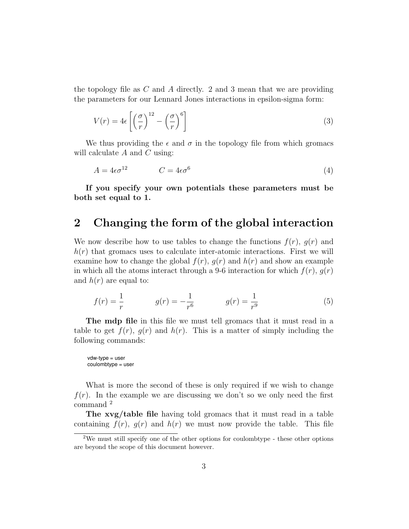the topology file as C and A directly. 2 and 3 mean that we are providing the parameters for our Lennard Jones interactions in epsilon-sigma form:

$$
V(r) = 4\epsilon \left[ \left(\frac{\sigma}{r}\right)^{12} - \left(\frac{\sigma}{r}\right)^6 \right] \tag{3}
$$

We thus providing the  $\epsilon$  and  $\sigma$  in the topology file from which gromacs will calculate  $A$  and  $C$  using:

$$
A = 4\epsilon\sigma^{12} \qquad C = 4\epsilon\sigma^6 \tag{4}
$$

If you specify your own potentials these parameters must be both set equal to 1.

#### 2 Changing the form of the global interaction

We now describe how to use tables to change the functions  $f(r)$ ,  $g(r)$  and  $h(r)$  that gromacs uses to calculate inter-atomic interactions. First we will examine how to change the global  $f(r)$ ,  $g(r)$  and  $h(r)$  and show an example in which all the atoms interact through a 9-6 interaction for which  $f(r)$ ,  $g(r)$ and  $h(r)$  are equal to:

$$
f(r) = \frac{1}{r} \qquad \qquad g(r) = -\frac{1}{r^6} \qquad \qquad g(r) = \frac{1}{r^9} \tag{5}
$$

The mdp file in this file we must tell gromacs that it must read in a table to get  $f(r)$ ,  $g(r)$  and  $h(r)$ . This is a matter of simply including the following commands:

vdw-type = user coulombtype = user

What is more the second of these is only required if we wish to change  $f(r)$ . In the example we are discussing we don't so we only need the first command <sup>2</sup>

The xvg/table file having told gromacs that it must read in a table containing  $f(r)$ ,  $q(r)$  and  $h(r)$  we must now provide the table. This file

<sup>2</sup>We must still specify one of the other options for coulombtype - these other options are beyond the scope of this document however.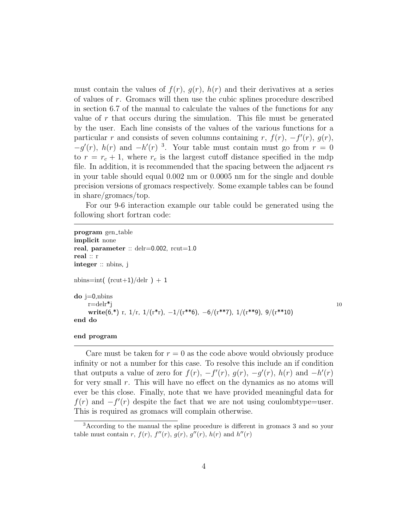must contain the values of  $f(r)$ ,  $g(r)$ ,  $h(r)$  and their derivatives at a series of values of r. Gromacs will then use the cubic splines procedure described in section 6.7 of the manual to calculate the values of the functions for any value of r that occurs during the simulation. This file must be generated by the user. Each line consists of the values of the various functions for a particular r and consists of seven columns containing r,  $f(r)$ ,  $-f'(r)$ ,  $g(r)$ ,  $-g'(r)$ ,  $h(r)$  and  $-h'(r)$ <sup>3</sup>. Your table must contain must go from  $r = 0$ to  $r = r_c + 1$ , where  $r_c$  is the largest cutoff distance specified in the mdp file. In addition, it is recommended that the spacing between the adjacent rs in your table should equal 0.002 nm or 0.0005 nm for the single and double precision versions of gromacs respectively. Some example tables can be found in share/gromacs/top.

For our 9-6 interaction example our table could be generated using the following short fortran code:

```
program gen_table
implicit none
real, parameter \therefore delr=0.002, rcut=1.0
real :: r
integer :: nbins, j
nbins=int((\text{rcut}+1)/\text{delr}) + 1
\bf{do} j=0,nbins
    r = \text{delr}^*j 10
    write(6,*) r, 1/r, 1/(r*r), -1/(r**6), -6/(r**7), 1/(r**9), 9/(r**10)end do
```

```
end program
```
Care must be taken for  $r = 0$  as the code above would obviously produce infinity or not a number for this case. To resolve this include an if condition that outputs a value of zero for  $f(r)$ ,  $-f'(r)$ ,  $g(r)$ ,  $-g'(r)$ ,  $h(r)$  and  $-h'(r)$ for very small r. This will have no effect on the dynamics as no atoms will ever be this close. Finally, note that we have provided meaningful data for  $f(r)$  and  $-f'(r)$  despite the fact that we are not using coulombtype=user. This is required as gromacs will complain otherwise.

<sup>3</sup>According to the manual the spline procedure is different in gromacs 3 and so your table must contain r,  $f(r)$ ,  $f''(r)$ ,  $g(r)$ ,  $g''(r)$ ,  $h(r)$  and  $h''(r)$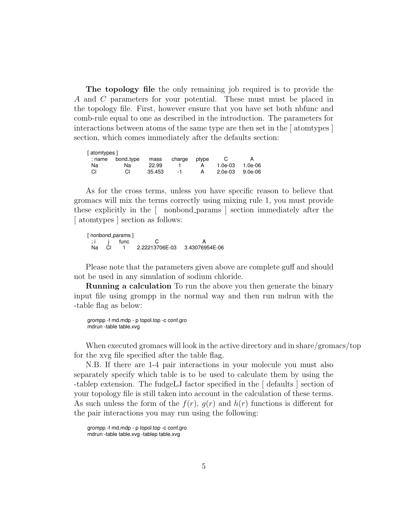The topology file the only remaining job required is to provide the A and C parameters for your potential. These must must be placed in the topology file. First, however ensure that you have set both nbfunc and comb-rule equal to one as described in the introduction. The parameters for interactions between atoms of the same type are then set in the [ atomtypes ] section, which comes immediately after the defaults section:

| [ atomtypes ] |           |        |        |       |           |           |  |  |
|---------------|-----------|--------|--------|-------|-----------|-----------|--|--|
| ; name        | bond_type | mass   | charge | ptvpe |           | А         |  |  |
| Na            | Na.       | 22.99  |        |       | $1.0e-03$ | $1.0e-06$ |  |  |
| СI            | СI        | 35.453 | -1     | A     | $2.0e-03$ | $9.0e-06$ |  |  |

As for the cross terms, unless you have specific reason to believe that gromacs will mix the terms correctly using mixing rule 1, you must provide these explicitly in the [ nonbond params ] section immediately after the [ atomtypes ] section as follows:

[ nonbond\_params ] ; i j func C A Na Cl 1 2.22213706E-03 3.43076954E-06

Please note that the parameters given above are complete guff and should not be used in any simulation of sodium chloride.

Running a calculation To run the above you then generate the binary input file using grompp in the normal way and then run mdrun with the -table flag as below:

grompp -f md.mdp - p topol.top -c conf.gro mdrun -table table.xvg

When executed gromacs will look in the active directory and in share/gromacs/top for the xvg file specified after the table flag.

N.B. If there are 1-4 pair interactions in your molecule you must also separately specify which table is to be used to calculate them by using the -tablep extension. The fudgeLJ factor specified in the [ defaults ] section of your topology file is still taken into account in the calculation of these terms. As such unless the form of the  $f(r)$ ,  $g(r)$  and  $h(r)$  functions is different for the pair interactions you may run using the following:

grompp -f md.mdp - p topol.top -c conf.gro mdrun -table table.xvg -tablep table.xvg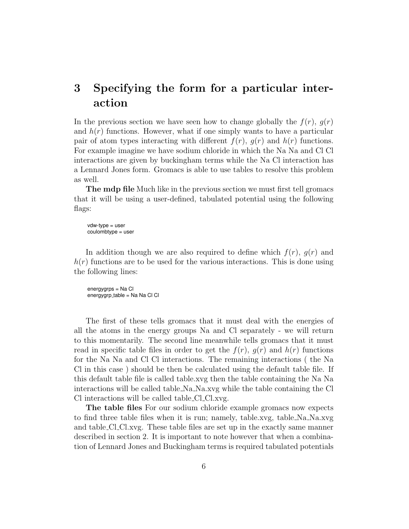## 3 Specifying the form for a particular interaction

In the previous section we have seen how to change globally the  $f(r)$ ,  $g(r)$ and  $h(r)$  functions. However, what if one simply wants to have a particular pair of atom types interacting with different  $f(r)$ ,  $q(r)$  and  $h(r)$  functions. For example imagine we have sodium chloride in which the Na Na and Cl Cl interactions are given by buckingham terms while the Na Cl interaction has a Lennard Jones form. Gromacs is able to use tables to resolve this problem as well.

The mdp file Much like in the previous section we must first tell gromacs that it will be using a user-defined, tabulated potential using the following flags:

vdw-type = user coulombtype = user

In addition though we are also required to define which  $f(r)$ ,  $g(r)$  and  $h(r)$  functions are to be used for the various interactions. This is done using the following lines:

energygrps = Na Cl energygrp\_table = Na Na Cl Cl

The first of these tells gromacs that it must deal with the energies of all the atoms in the energy groups Na and Cl separately - we will return to this momentarily. The second line meanwhile tells gromacs that it must read in specific table files in order to get the  $f(r)$ ,  $q(r)$  and  $h(r)$  functions for the Na Na and Cl Cl interactions. The remaining interactions ( the Na Cl in this case ) should be then be calculated using the default table file. If this default table file is called table.xvg then the table containing the Na Na interactions will be called table Na Na.xvg while the table containing the Cl Cl interactions will be called table Cl Cl xvg.

The table files For our sodium chloride example gromacs now expects to find three table files when it is run; namely, table.xvg, table Na Na.xvg and table Cl Cl xvg. These table files are set up in the exactly same manner described in section 2. It is important to note however that when a combination of Lennard Jones and Buckingham terms is required tabulated potentials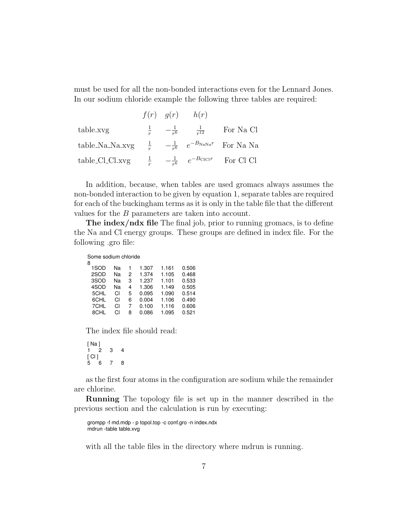must be used for all the non-bonded interactions even for the Lennard Jones. In our sodium chloride example the following three tables are required:

|                                                                                  |  | $f(r)$ $g(r)$ $h(r)$                             |                                                                     |
|----------------------------------------------------------------------------------|--|--------------------------------------------------|---------------------------------------------------------------------|
| table.xvg                                                                        |  | $\frac{1}{r} - \frac{1}{r^6} - \frac{1}{r^{12}}$ | For Na Cl                                                           |
| table_Na_Na_xvg $\frac{1}{r}$ $-\frac{1}{r^6}$ $e^{-B_{\text{NANa}}r}$ For Na Na |  |                                                  |                                                                     |
| table_Cl_Cl.xvg                                                                  |  |                                                  | $\frac{1}{r}$ $-\frac{1}{r^6}$ $e^{-B}$ CICI <sup>r</sup> For Cl Cl |

In addition, because, when tables are used gromacs always assumes the non-bonded interaction to be given by equation 1, separate tables are required for each of the buckingham terms as it is only in the table file that the different values for the B parameters are taken into account.

The index/ndx file The final job, prior to running gromacs, is to define the Na and Cl energy groups. These groups are defined in index file. For the following .gro file:

| Some sodium chloride |    |   |       |       |       |
|----------------------|----|---|-------|-------|-------|
| 8<br>1SOD            | Nа | 1 | 1.307 | 1.161 | 0.506 |
| 2SOD                 | Nа | 2 | 1.374 | 1.105 | 0.468 |
| 3SOD                 | Nа | 3 | 1.237 | 1.101 | 0.533 |
| 4SOD                 | Nа | 4 | 1.306 | 1.149 | 0.505 |
| 5CHL                 | СI | 5 | 0.095 | 1.090 | 0.514 |
| 6CHL                 | СI | 6 | 0.004 | 1.106 | 0.490 |
| 7CHL                 | СI | 7 | 0.100 | 1.116 | 0.606 |
| 8CHI.                | СI | 8 | 0.086 | 1.095 | 0.521 |
|                      |    |   |       |       |       |

The index file should read:

[ Na ] 1 2 3 4  $\begin{bmatrix} C & | & | \overline{C} & | & | \overline{C} & | & | \overline{C} & | & | \overline{C} & | & | \overline{C} & | & | \overline{C} & | & | \overline{C} & | & | \overline{C} & | & | \overline{C} & | & | \overline{C} & | & | \overline{C} & | & | \overline{C} & | & | \overline{C} & | & | \overline{C} & | & | \overline{C} & | & | \overline{C} & | & | \overline{C} & | & | \overline{C} & | & | \overline{C} & | & | \overline{C} & | & | \overline{C} & | &$ 5 6 7 8

as the first four atoms in the configuration are sodium while the remainder are chlorine.

Running The topology file is set up in the manner described in the previous section and the calculation is run by executing:

grompp -f md.mdp - p topol.top -c conf.gro -n index.ndx mdrun -table table.xvg

with all the table files in the directory where mdrun is running.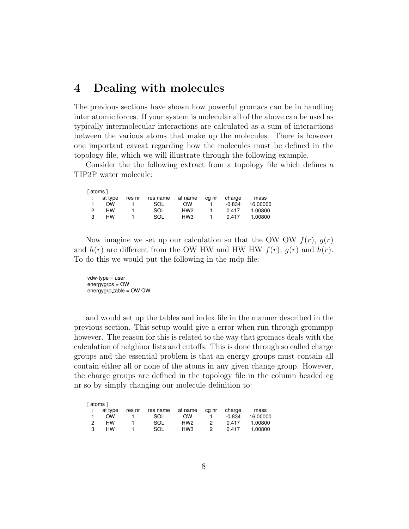#### 4 Dealing with molecules

The previous sections have shown how powerful gromacs can be in handling inter atomic forces. If your system is molecular all of the above can be used as typically intermolecular interactions are calculated as a sum of interactions between the various atoms that make up the molecules. There is however one important caveat regarding how the molecules must be defined in the topology file, which we will illustrate through the following example.

Consider the the following extract from a topology file which defines a TIP3P water molecule:

| [ atoms ] |         |        |          |                 |       |          |          |
|-----------|---------|--------|----------|-----------------|-------|----------|----------|
| ٠         | at type | res nr | res name | at name         | cg nr | charge   | mass     |
|           | OW      |        | SOL      | <b>OW</b>       |       | $-0.834$ | 16.00000 |
| 2         | HW      |        | SOL      | HW <sub>2</sub> |       | 0.417    | 1.00800  |
| 3         | HW      |        | SOL      | HW <sub>3</sub> |       | 0.417    | 1.00800  |
|           |         |        |          |                 |       |          |          |

Now imagine we set up our calculation so that the OW OW  $f(r)$ ,  $g(r)$ and  $h(r)$  are different from the OW HW and HW HW  $f(r)$ ,  $g(r)$  and  $h(r)$ . To do this we would put the following in the mdp file:

vdw-type = user energygrps = OW energygrp table = OW OW

and would set up the tables and index file in the manner described in the previous section. This setup would give a error when run through grommpp however. The reason for this is related to the way that gromacs deals with the calculation of neighbor lists and cutoffs. This is done through so called charge groups and the essential problem is that an energy groups must contain all contain either all or none of the atoms in any given change group. However, the charge groups are defined in the topology file in the column headed cg nr so by simply changing our molecule definition to:

| [ atoms ]     |         |        |                  |                 |       |          |          |
|---------------|---------|--------|------------------|-----------------|-------|----------|----------|
|               | at type | res nr | res name at name |                 | ca nr | charge   | mass     |
|               | OW      |        | SOL              | <b>OW</b>       |       | $-0.834$ | 16.00000 |
| $\mathcal{P}$ | HW      |        | SOL              | HW <sub>2</sub> | 2     | 0.417    | 1.00800  |
| з             | HW      |        | SOL              | HW <sub>3</sub> | 2     | 0.417    | 1.00800  |
|               |         |        |                  |                 |       |          |          |